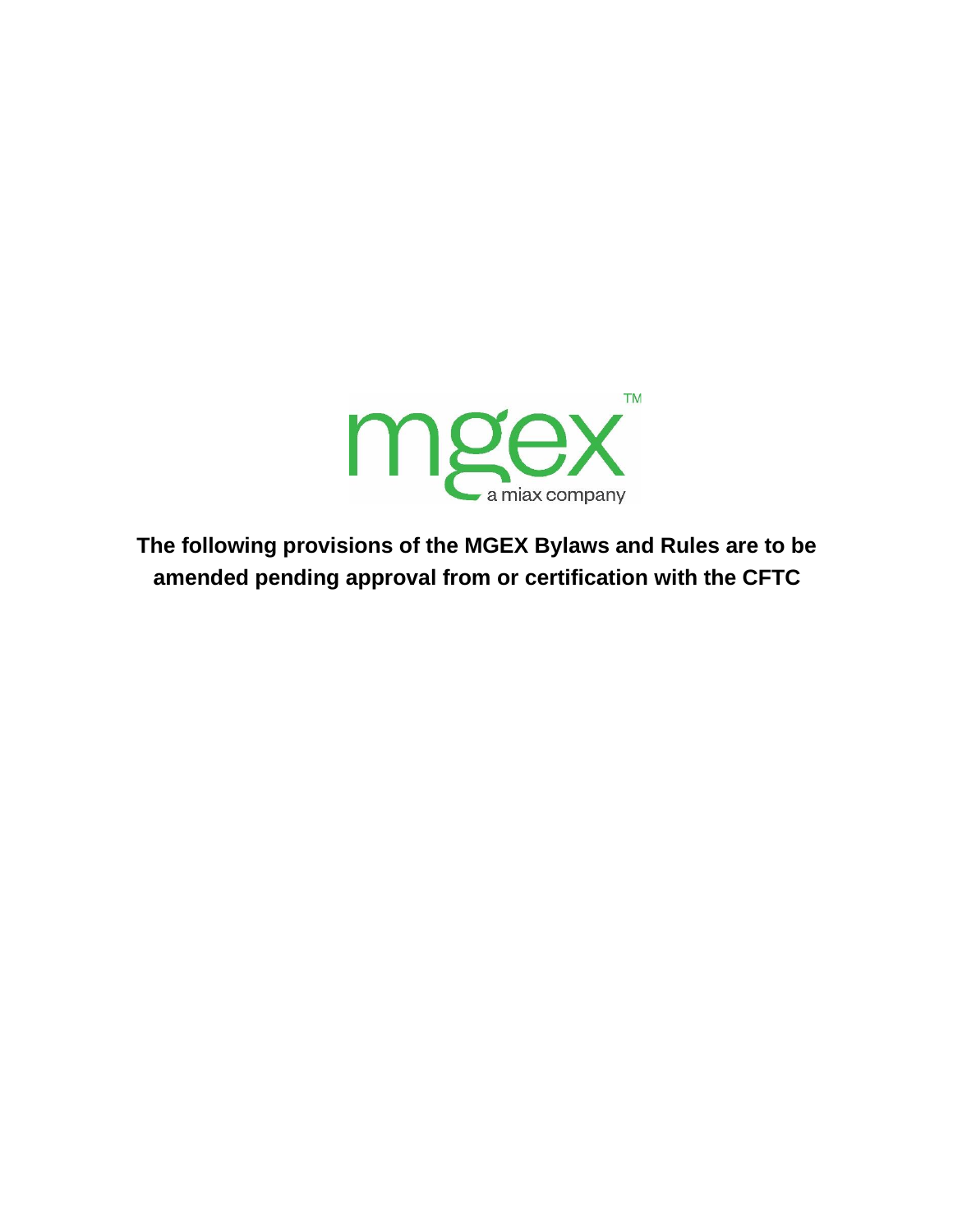

**The following provisions of the MGEX Bylaws and Rules are to be amended pending approval from or certification with the CFTC**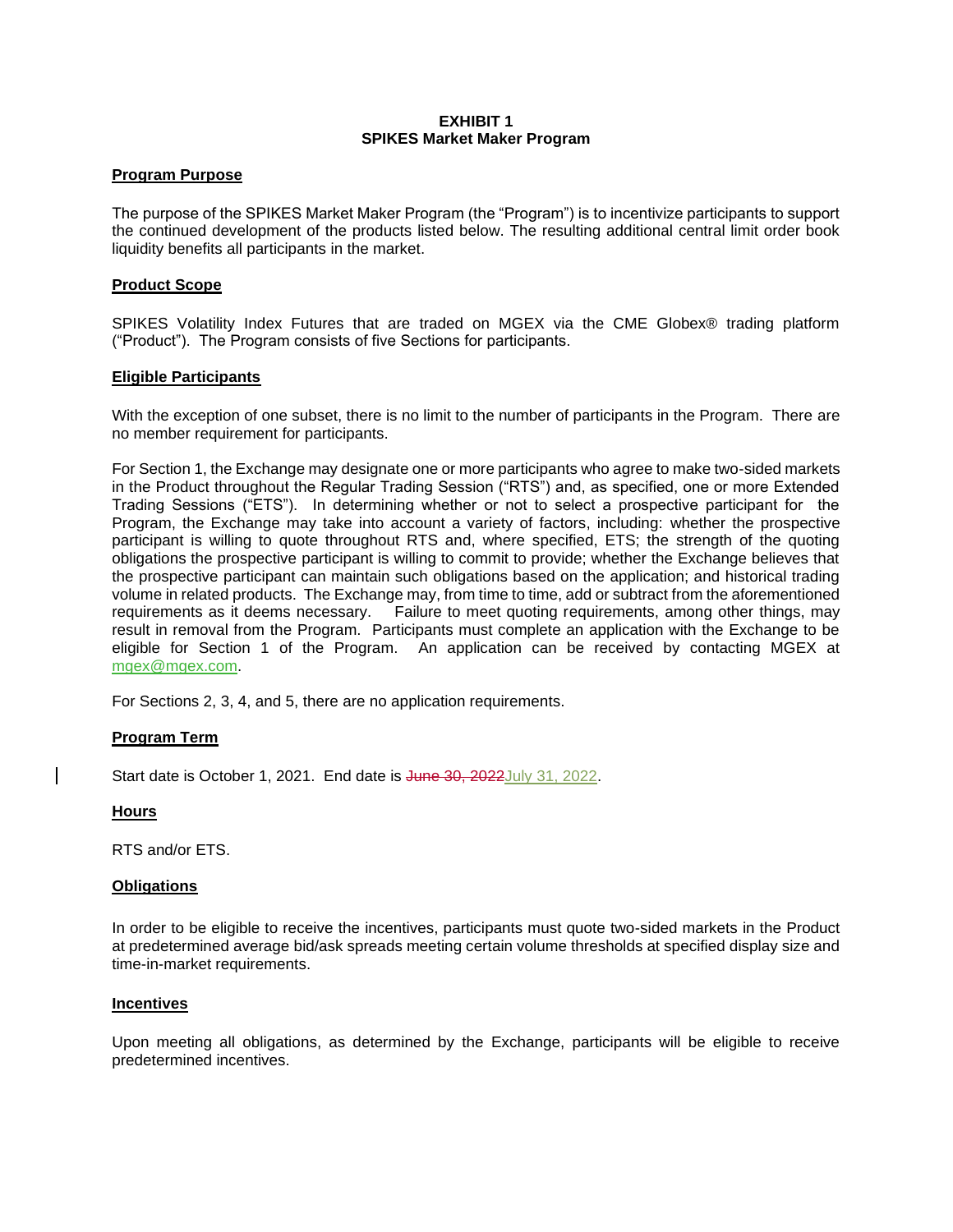#### **EXHIBIT 1 SPIKES Market Maker Program**

### **Program Purpose**

The purpose of the SPIKES Market Maker Program (the "Program") is to incentivize participants to support the continued development of the products listed below. The resulting additional central limit order book liquidity benefits all participants in the market.

### **Product Scope**

SPIKES Volatility Index Futures that are traded on MGEX via the CME Globex® trading platform ("Product"). The Program consists of five Sections for participants.

### **Eligible Participants**

With the exception of one subset, there is no limit to the number of participants in the Program. There are no member requirement for participants.

For Section 1, the Exchange may designate one or more participants who agree to make two-sided markets in the Product throughout the Regular Trading Session ("RTS") and, as specified, one or more Extended Trading Sessions ("ETS"). In determining whether or not to select a prospective participant for the Program, the Exchange may take into account a variety of factors, including: whether the prospective participant is willing to quote throughout RTS and, where specified, ETS; the strength of the quoting obligations the prospective participant is willing to commit to provide; whether the Exchange believes that the prospective participant can maintain such obligations based on the application; and historical trading volume in related products. The Exchange may, from time to time, add or subtract from the aforementioned requirements as it deems necessary. Failure to meet quoting requirements, among other things, may result in removal from the Program. Participants must complete an application with the Exchange to be eligible for Section 1 of the Program. An application can be received by contacting MGEX at [mgex@mgex.com.](mailto:mgex@mgex.com)

For Sections 2, 3, 4, and 5, there are no application requirements.

#### **Program Term**

Start date is October 1, 2021. End date is June 30, 2022July 31, 2022.

#### **Hours**

RTS and/or ETS.

#### **Obligations**

In order to be eligible to receive the incentives, participants must quote two-sided markets in the Product at predetermined average bid/ask spreads meeting certain volume thresholds at specified display size and time-in-market requirements.

#### **Incentives**

Upon meeting all obligations, as determined by the Exchange, participants will be eligible to receive predetermined incentives.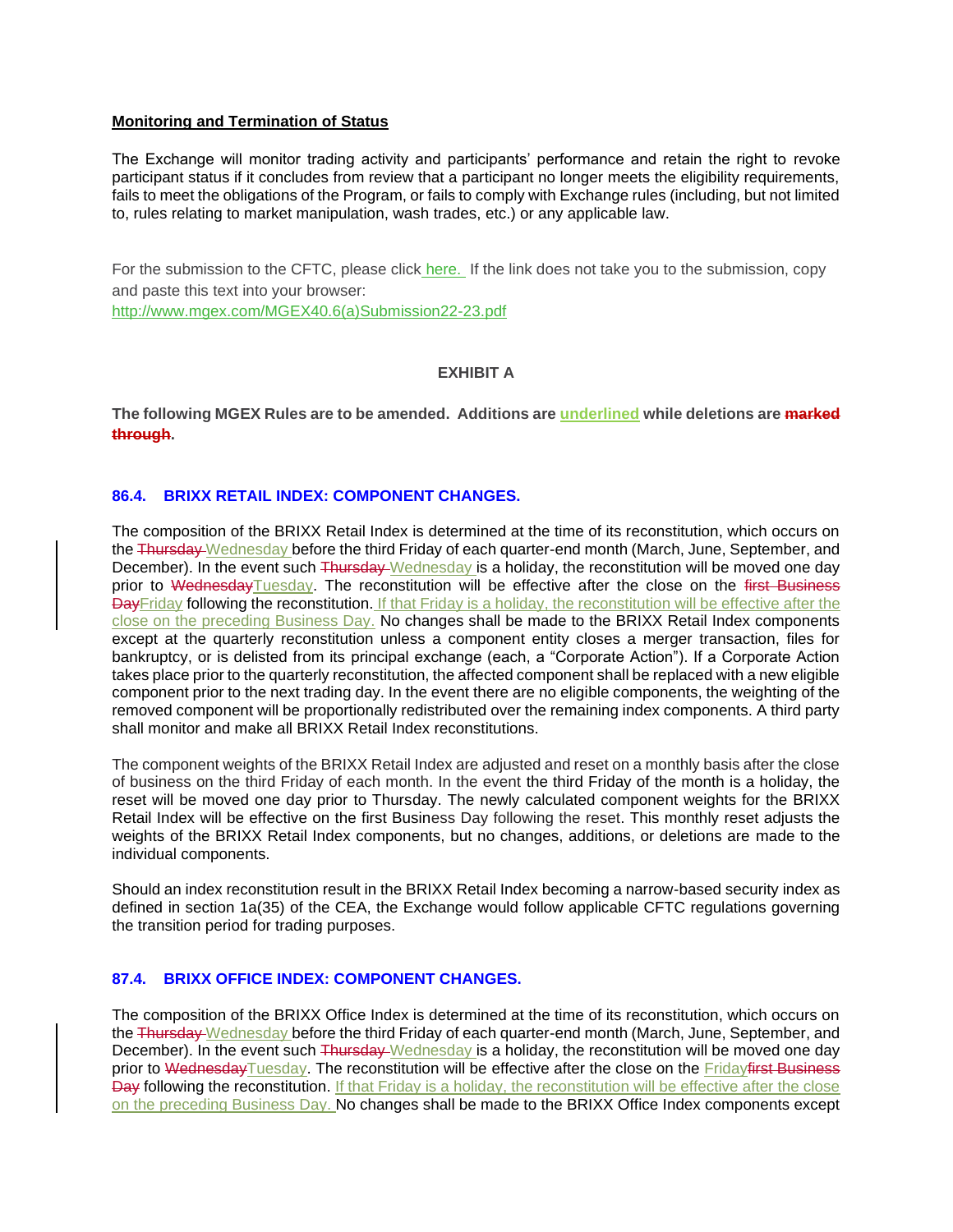#### **Monitoring and Termination of Status**

The Exchange will monitor trading activity and participants' performance and retain the right to revoke participant status if it concludes from review that a participant no longer meets the eligibility requirements, fails to meet the obligations of the Program, or fails to comply with Exchange rules (including, but not limited to, rules relating to market manipulation, wash trades, etc.) or any applicable law.

For the submission to the CFTC, please click [here.](http://www.mgex.com/MGEX40.6(a)Submission22-23.pdf) If the link does not take you to the submission, copy and paste this text into your browser:

[http://www.mgex.com/MGEX40.6\(a\)Submission22-23.pdf](http://www.mgex.com/MGEX40.6(a)Submission22-23.pdf)

# **EXHIBIT A**

**The following MGEX Rules are to be amended. Additions are underlined while deletions are marked through.**

### **86.4. BRIXX RETAIL INDEX: COMPONENT CHANGES.**

The composition of the BRIXX Retail Index is determined at the time of its reconstitution, which occurs on the <del>Thursday Wednesday</del> before the third Friday of each quarter-end month (March, June, September, and December). In the event such Thursday Wednesday is a holiday, the reconstitution will be moved one day prior to WednesdayTuesday. The reconstitution will be effective after the close on the first Business DayFriday following the reconstitution. If that Friday is a holiday, the reconstitution will be effective after the close on the preceding Business Day. No changes shall be made to the BRIXX Retail Index components except at the quarterly reconstitution unless a component entity closes a merger transaction, files for bankruptcy, or is delisted from its principal exchange (each, a "Corporate Action"). If a Corporate Action takes place prior to the quarterly reconstitution, the affected component shall be replaced with a new eligible component prior to the next trading day. In the event there are no eligible components, the weighting of the removed component will be proportionally redistributed over the remaining index components. A third party shall monitor and make all BRIXX Retail Index reconstitutions.

The component weights of the BRIXX Retail Index are adjusted and reset on a monthly basis after the close of business on the third Friday of each month. In the event the third Friday of the month is a holiday, the reset will be moved one day prior to Thursday. The newly calculated component weights for the BRIXX Retail Index will be effective on the first Business Day following the reset. This monthly reset adjusts the weights of the BRIXX Retail Index components, but no changes, additions, or deletions are made to the individual components.

Should an index reconstitution result in the BRIXX Retail Index becoming a narrow-based security index as defined in section 1a(35) of the CEA, the Exchange would follow applicable CFTC regulations governing the transition period for trading purposes.

# **87.4. BRIXX OFFICE INDEX: COMPONENT CHANGES.**

The composition of the BRIXX Office Index is determined at the time of its reconstitution, which occurs on the Thursday Wednesday before the third Friday of each quarter-end month (March, June, September, and December). In the event such Thursday Wednesday is a holiday, the reconstitution will be moved one day prior to WednesdayTuesday. The reconstitution will be effective after the close on the Fridayfirst Business Day following the reconstitution. If that Friday is a holiday, the reconstitution will be effective after the close on the preceding Business Day. No changes shall be made to the BRIXX Office Index components except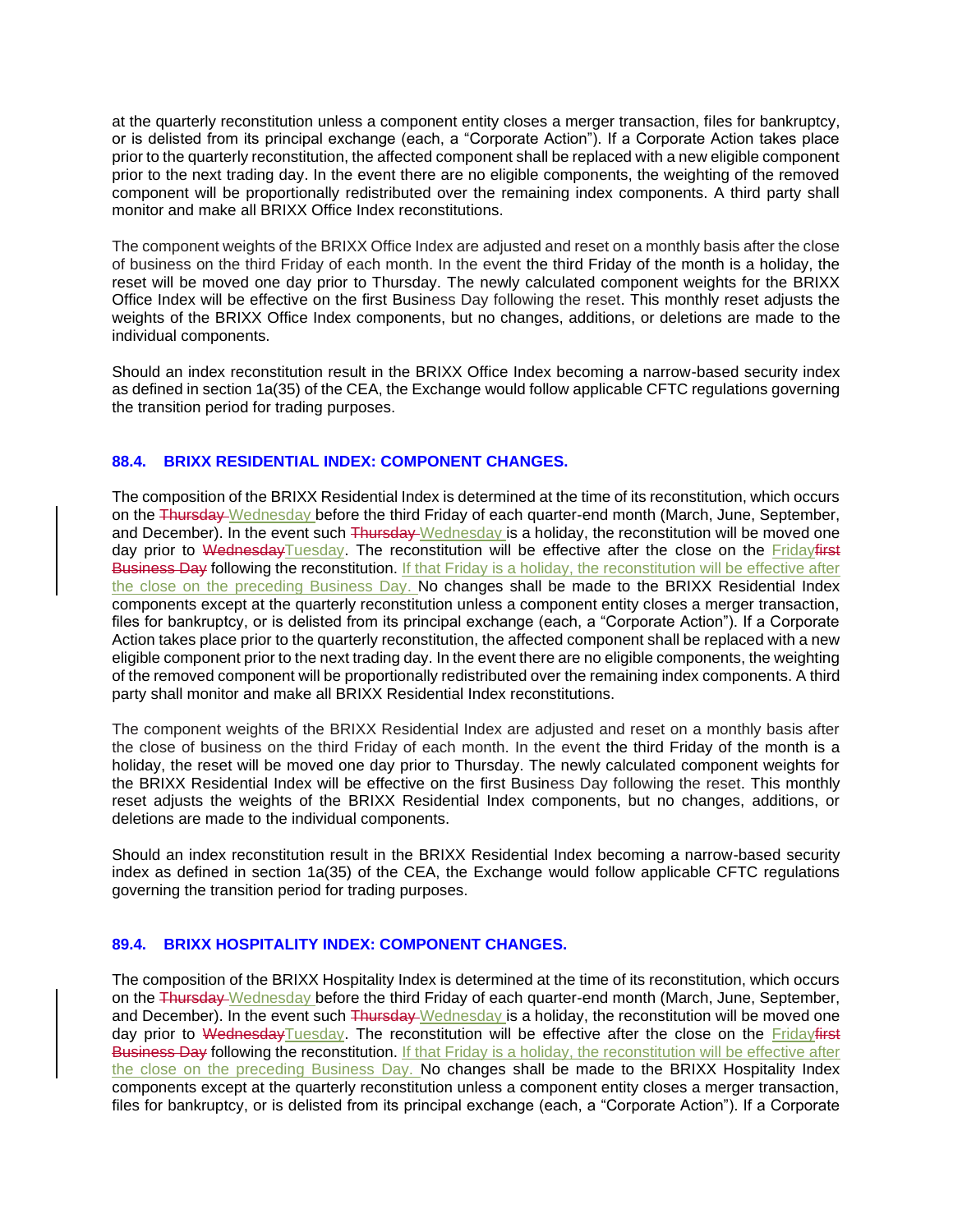at the quarterly reconstitution unless a component entity closes a merger transaction, files for bankruptcy, or is delisted from its principal exchange (each, a "Corporate Action"). If a Corporate Action takes place prior to the quarterly reconstitution, the affected component shall be replaced with a new eligible component prior to the next trading day. In the event there are no eligible components, the weighting of the removed component will be proportionally redistributed over the remaining index components. A third party shall monitor and make all BRIXX Office Index reconstitutions.

The component weights of the BRIXX Office Index are adjusted and reset on a monthly basis after the close of business on the third Friday of each month. In the event the third Friday of the month is a holiday, the reset will be moved one day prior to Thursday. The newly calculated component weights for the BRIXX Office Index will be effective on the first Business Day following the reset. This monthly reset adjusts the weights of the BRIXX Office Index components, but no changes, additions, or deletions are made to the individual components.

Should an index reconstitution result in the BRIXX Office Index becoming a narrow-based security index as defined in section 1a(35) of the CEA, the Exchange would follow applicable CFTC regulations governing the transition period for trading purposes.

# **88.4. BRIXX RESIDENTIAL INDEX: COMPONENT CHANGES.**

The composition of the BRIXX Residential Index is determined at the time of its reconstitution, which occurs on the <del>Thursday Wednesday before the third Friday of each quarter-end month (March, June, September,</del> and December). In the event such Thursday Wednesday is a holiday, the reconstitution will be moved one day prior to WednesdayTuesday. The reconstitution will be effective after the close on the Fridayfirst Business Day following the reconstitution. If that Friday is a holiday, the reconstitution will be effective after the close on the preceding Business Day. No changes shall be made to the BRIXX Residential Index components except at the quarterly reconstitution unless a component entity closes a merger transaction, files for bankruptcy, or is delisted from its principal exchange (each, a "Corporate Action"). If a Corporate Action takes place prior to the quarterly reconstitution, the affected component shall be replaced with a new eligible component prior to the next trading day. In the event there are no eligible components, the weighting of the removed component will be proportionally redistributed over the remaining index components. A third party shall monitor and make all BRIXX Residential Index reconstitutions.

The component weights of the BRIXX Residential Index are adjusted and reset on a monthly basis after the close of business on the third Friday of each month. In the event the third Friday of the month is a holiday, the reset will be moved one day prior to Thursday. The newly calculated component weights for the BRIXX Residential Index will be effective on the first Business Day following the reset. This monthly reset adjusts the weights of the BRIXX Residential Index components, but no changes, additions, or deletions are made to the individual components.

Should an index reconstitution result in the BRIXX Residential Index becoming a narrow-based security index as defined in section 1a(35) of the CEA, the Exchange would follow applicable CFTC regulations governing the transition period for trading purposes.

# **89.4. BRIXX HOSPITALITY INDEX: COMPONENT CHANGES.**

The composition of the BRIXX Hospitality Index is determined at the time of its reconstitution, which occurs on the <del>Thursday Wednesday before the third Friday</del> of each quarter-end month (March, June, September, and December). In the event such Thursday Wednesday is a holiday, the reconstitution will be moved one day prior to WednesdayTuesday. The reconstitution will be effective after the close on the Fridayfirst Business Day following the reconstitution. If that Friday is a holiday, the reconstitution will be effective after the close on the preceding Business Day. No changes shall be made to the BRIXX Hospitality Index components except at the quarterly reconstitution unless a component entity closes a merger transaction, files for bankruptcy, or is delisted from its principal exchange (each, a "Corporate Action"). If a Corporate